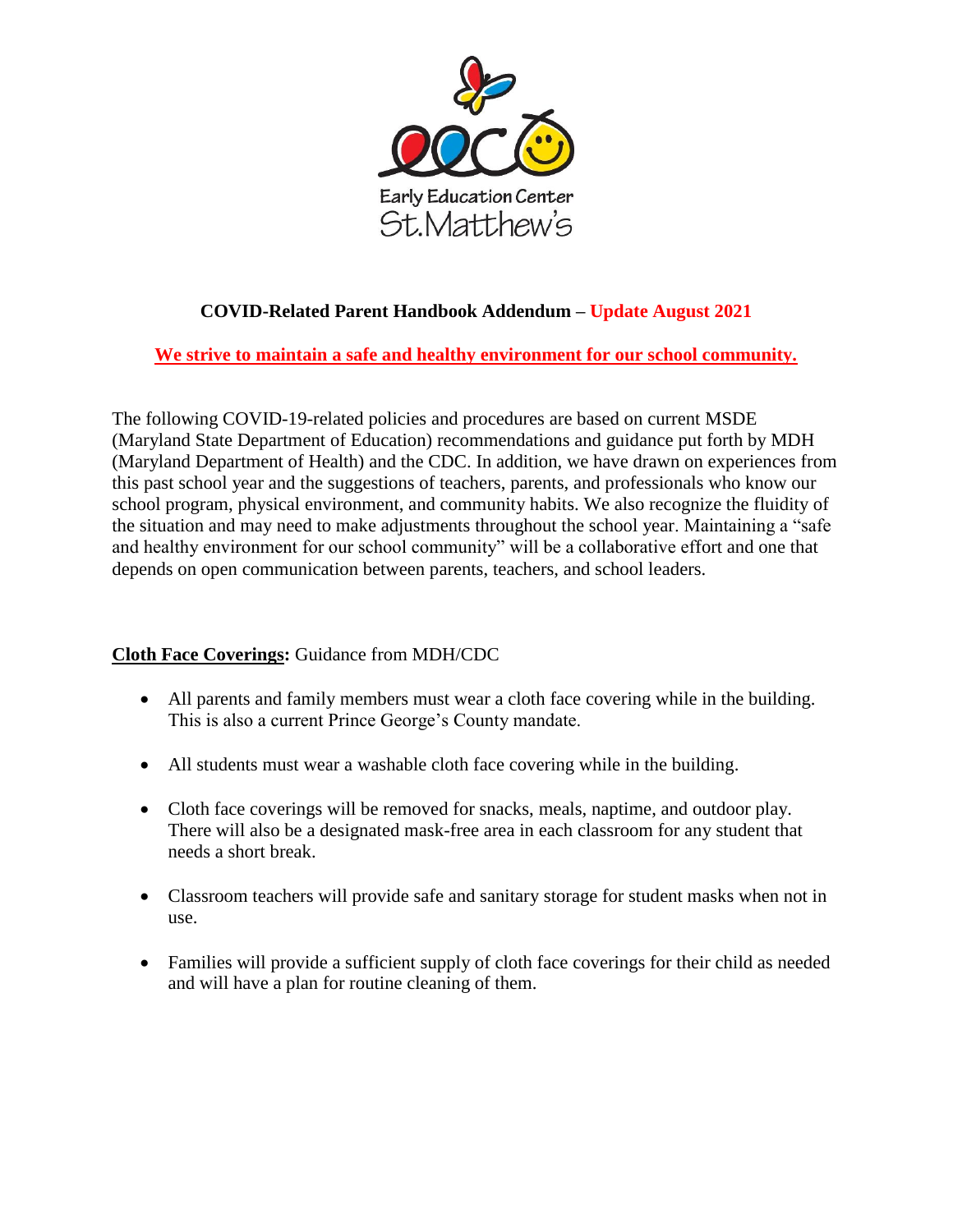

# **COVID-Related Parent Handbook Addendum – Update August 2021**

**We strive to maintain a safe and healthy environment for our school community.**

The following COVID-19-related policies and procedures are based on current MSDE (Maryland State Department of Education) recommendations and guidance put forth by MDH (Maryland Department of Health) and the CDC. In addition, we have drawn on experiences from this past school year and the suggestions of teachers, parents, and professionals who know our school program, physical environment, and community habits. We also recognize the fluidity of the situation and may need to make adjustments throughout the school year. Maintaining a "safe and healthy environment for our school community" will be a collaborative effort and one that depends on open communication between parents, teachers, and school leaders.

## **Cloth Face Coverings:** Guidance from MDH/CDC

- All parents and family members must wear a cloth face covering while in the building. This is also a current Prince George's County mandate.
- All students must wear a washable cloth face covering while in the building.
- Cloth face coverings will be removed for snacks, meals, naptime, and outdoor play. There will also be a designated mask-free area in each classroom for any student that needs a short break.
- Classroom teachers will provide safe and sanitary storage for student masks when not in use.
- Families will provide a sufficient supply of cloth face coverings for their child as needed and will have a plan for routine cleaning of them.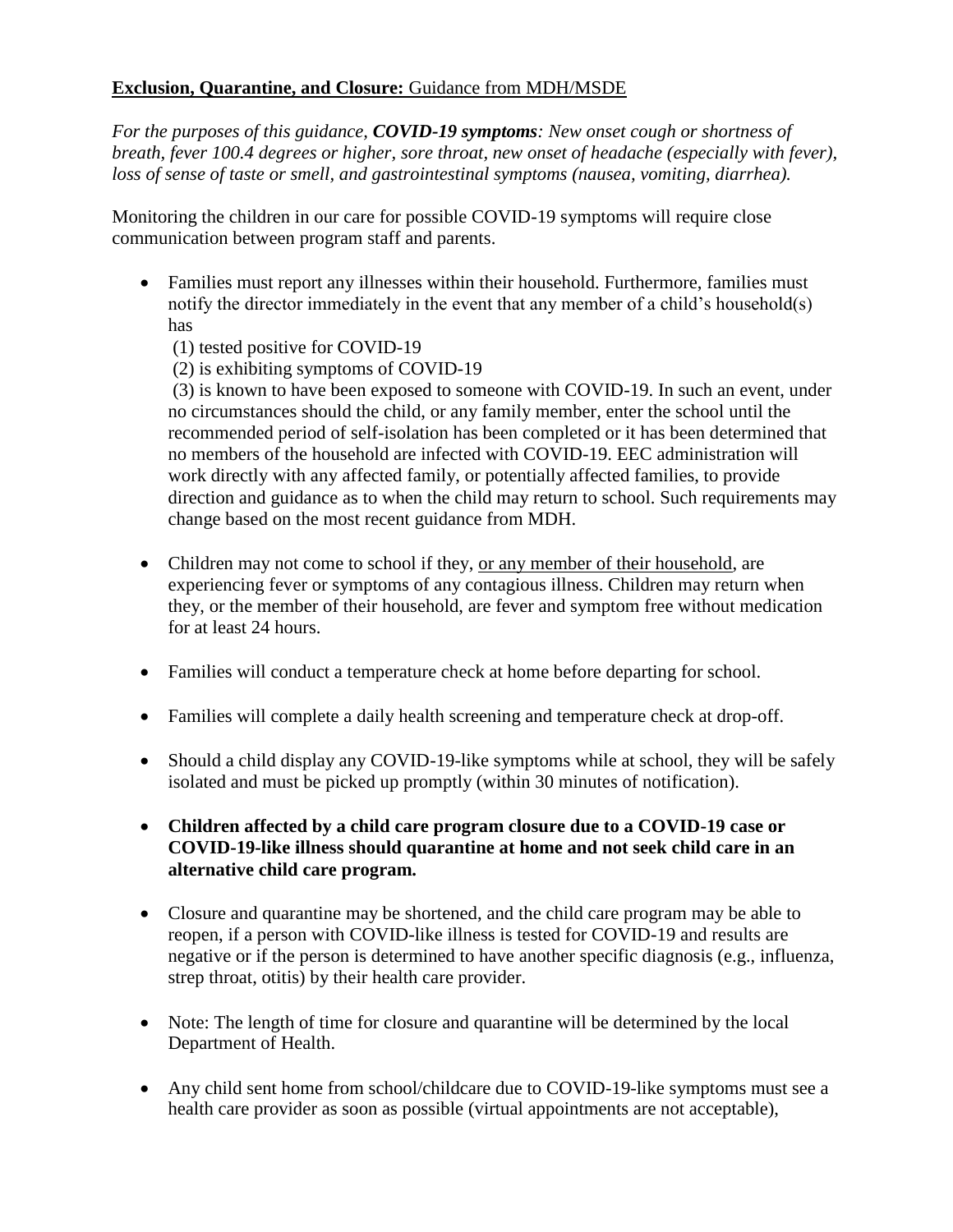### **Exclusion, Quarantine, and Closure:** Guidance from MDH/MSDE

*For the purposes of this guidance, COVID-19 symptoms: New onset cough or shortness of breath, fever 100.4 degrees or higher, sore throat, new onset of headache (especially with fever), loss of sense of taste or smell, and gastrointestinal symptoms (nausea, vomiting, diarrhea).* 

Monitoring the children in our care for possible COVID-19 symptoms will require close communication between program staff and parents.

- Families must report any illnesses within their household. Furthermore, families must notify the director immediately in the event that any member of a child's household(s) has
	- (1) tested positive for COVID-19

(2) is exhibiting symptoms of COVID-19

(3) is known to have been exposed to someone with COVID-19. In such an event, under no circumstances should the child, or any family member, enter the school until the recommended period of self-isolation has been completed or it has been determined that no members of the household are infected with COVID-19. EEC administration will work directly with any affected family, or potentially affected families, to provide direction and guidance as to when the child may return to school. Such requirements may change based on the most recent guidance from MDH.

- Children may not come to school if they, <u>or any member of their household</u>, are experiencing fever or symptoms of any contagious illness. Children may return when they, or the member of their household, are fever and symptom free without medication for at least 24 hours.
- Families will conduct a temperature check at home before departing for school.
- Families will complete a daily health screening and temperature check at drop-off.
- Should a child display any COVID-19-like symptoms while at school, they will be safely isolated and must be picked up promptly (within 30 minutes of notification).
- **Children affected by a child care program closure due to a COVID-19 case or COVID-19-like illness should quarantine at home and not seek child care in an alternative child care program.**
- Closure and quarantine may be shortened, and the child care program may be able to reopen, if a person with COVID-like illness is tested for COVID-19 and results are negative or if the person is determined to have another specific diagnosis (e.g., influenza, strep throat, otitis) by their health care provider.
- Note: The length of time for closure and quarantine will be determined by the local Department of Health.
- Any child sent home from school/childcare due to COVID-19-like symptoms must see a health care provider as soon as possible (virtual appointments are not acceptable),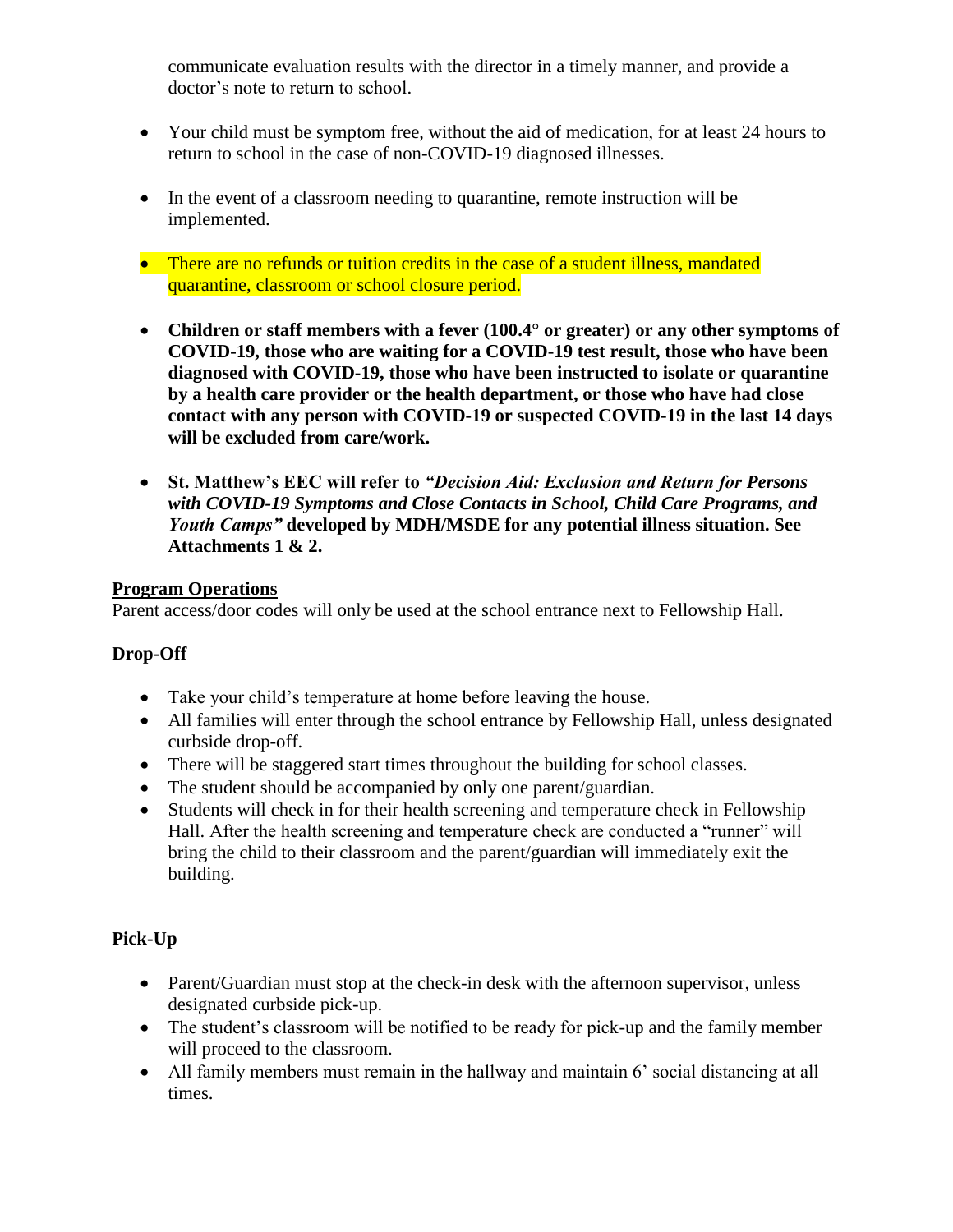communicate evaluation results with the director in a timely manner, and provide a doctor's note to return to school.

- Your child must be symptom free, without the aid of medication, for at least 24 hours to return to school in the case of non-COVID-19 diagnosed illnesses.
- In the event of a classroom needing to quarantine, remote instruction will be implemented.
- There are no refunds or tuition credits in the case of a student illness, mandated quarantine, classroom or school closure period.
- **Children or staff members with a fever (100.4° or greater) or any other symptoms of COVID-19, those who are waiting for a COVID-19 test result, those who have been diagnosed with COVID-19, those who have been instructed to isolate or quarantine by a health care provider or the health department, or those who have had close contact with any person with COVID-19 or suspected COVID-19 in the last 14 days will be excluded from care/work.**
- **St. Matthew's EEC will refer to** *"Decision Aid: Exclusion and Return for Persons with COVID-19 Symptoms and Close Contacts in School, Child Care Programs, and Youth Camps"* **developed by MDH/MSDE for any potential illness situation. See Attachments 1 & 2.**

#### **Program Operations**

Parent access/door codes will only be used at the school entrance next to Fellowship Hall.

### **Drop-Off**

- Take your child's temperature at home before leaving the house.
- All families will enter through the school entrance by Fellowship Hall, unless designated curbside drop-off.
- There will be staggered start times throughout the building for school classes.
- The student should be accompanied by only one parent/guardian.
- Students will check in for their health screening and temperature check in Fellowship Hall. After the health screening and temperature check are conducted a "runner" will bring the child to their classroom and the parent/guardian will immediately exit the building.

## **Pick-Up**

- Parent/Guardian must stop at the check-in desk with the afternoon supervisor, unless designated curbside pick-up.
- The student's classroom will be notified to be ready for pick-up and the family member will proceed to the classroom.
- All family members must remain in the hallway and maintain 6' social distancing at all times.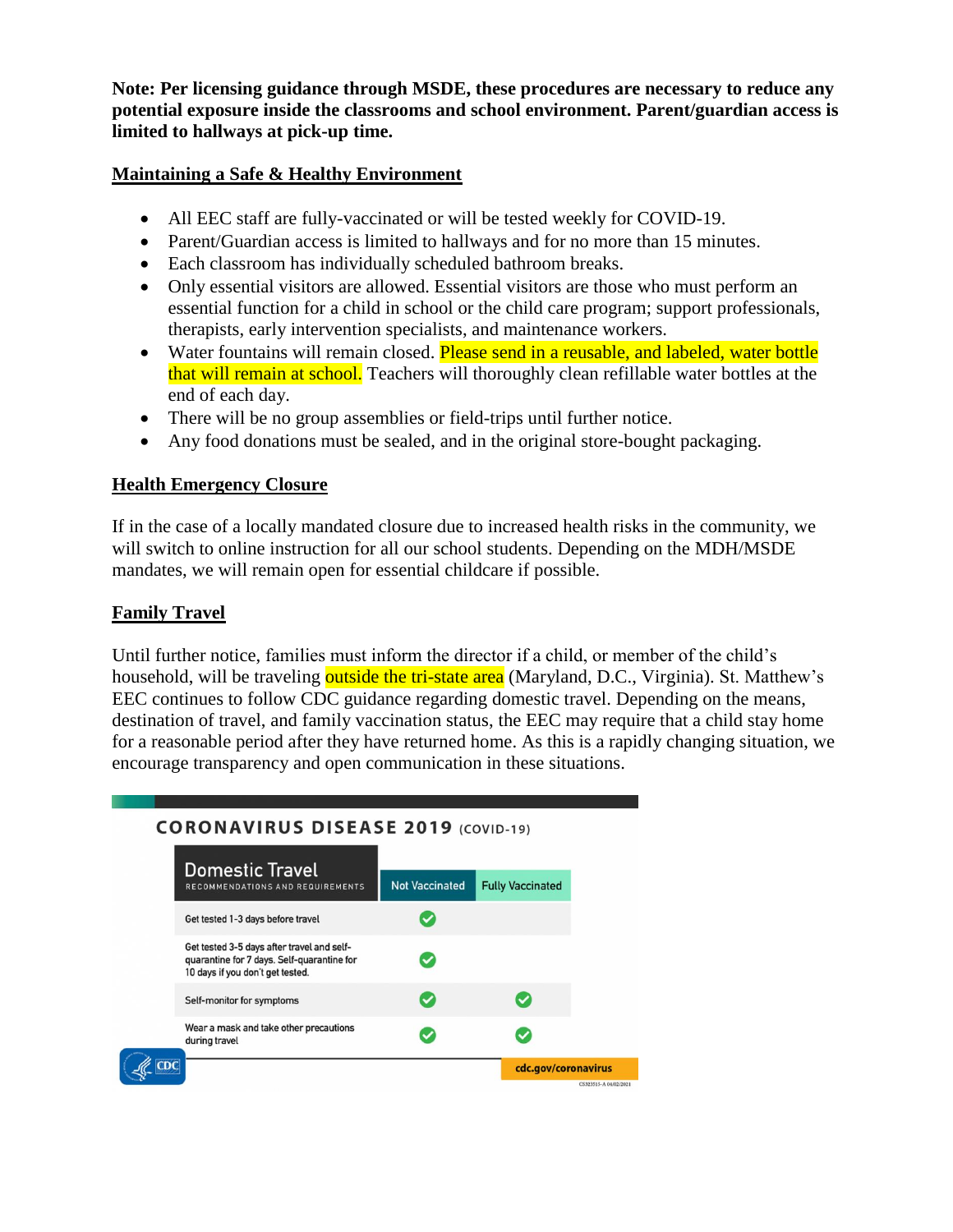**Note: Per licensing guidance through MSDE, these procedures are necessary to reduce any potential exposure inside the classrooms and school environment. Parent/guardian access is limited to hallways at pick-up time.** 

#### **Maintaining a Safe & Healthy Environment**

- All EEC staff are fully-vaccinated or will be tested weekly for COVID-19.
- Parent/Guardian access is limited to hallways and for no more than 15 minutes.
- Each classroom has individually scheduled bathroom breaks.
- Only essential visitors are allowed. Essential visitors are those who must perform an essential function for a child in school or the child care program; support professionals, therapists, early intervention specialists, and maintenance workers.
- Water fountains will remain closed. Please send in a reusable, and labeled, water bottle that will remain at school. Teachers will thoroughly clean refillable water bottles at the end of each day.
- There will be no group assemblies or field-trips until further notice.
- Any food donations must be sealed, and in the original store-bought packaging.

#### **Health Emergency Closure**

If in the case of a locally mandated closure due to increased health risks in the community, we will switch to online instruction for all our school students. Depending on the MDH/MSDE mandates, we will remain open for essential childcare if possible.

#### **Family Travel**

Until further notice, families must inform the director if a child, or member of the child's household, will be traveling outside the tri-state area (Maryland, D.C., Virginia). St. Matthew's EEC continues to follow CDC guidance regarding domestic travel. Depending on the means, destination of travel, and family vaccination status, the EEC may require that a child stay home for a reasonable period after they have returned home. As this is a rapidly changing situation, we encourage transparency and open communication in these situations.

### **CORONAVIRUS DISEASE 2019 (COVID-19)**

|     | <b>Domestic Travel</b>                                                                                                       |                       |                         |
|-----|------------------------------------------------------------------------------------------------------------------------------|-----------------------|-------------------------|
|     | RECOMMENDATIONS AND REQUIREMENTS                                                                                             | <b>Not Vaccinated</b> | <b>Fully Vaccinated</b> |
|     | Get tested 1-3 days before travel                                                                                            |                       |                         |
|     | Get tested 3-5 days after travel and self-<br>quarantine for 7 days. Self-quarantine for<br>10 days if you don't get tested. |                       |                         |
|     | Self-monitor for symptoms                                                                                                    | ✓                     | ✓                       |
|     | Wear a mask and take other precautions<br>during travel                                                                      |                       | ✓                       |
| CDC |                                                                                                                              |                       | cdc.gov/coronavirus     |
|     |                                                                                                                              |                       |                         |